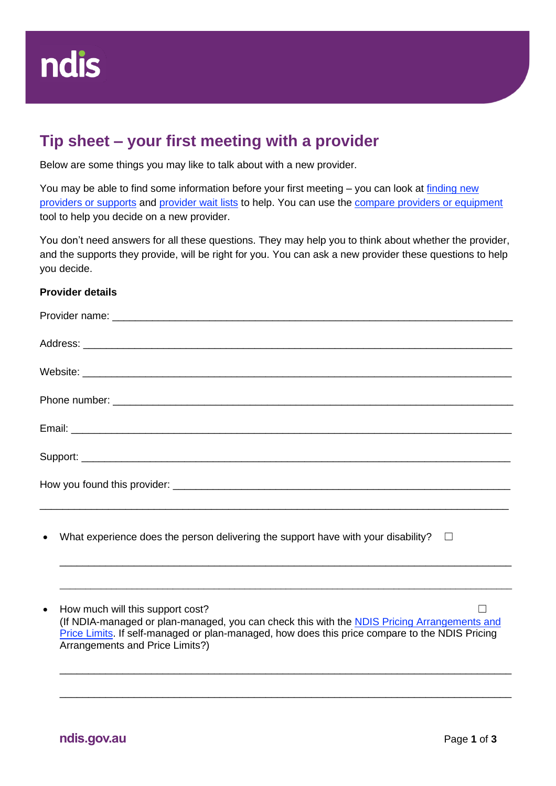

## **Tip sheet – your first meeting with a provider**

Below are some things you may like to talk about with a new provider.

You may be able to find some information before your first meeting - you can look at finding new [providers or supports](https://aus01.safelinks.protection.outlook.com/?url=https%3A%2F%2Fwww.ndis.gov.au%2Fmedia%2F4432%2Fdownload&data=05%7C01%7CLinda.Ryan%40ndis.gov.au%7Cc8d652627a7541a2d88008da36dc862f%7Ccd778b65752d454a87cfb9990fe58993%7C0%7C0%7C637882618009536849%7CUnknown%7CTWFpbGZsb3d8eyJWIjoiMC4wLjAwMDAiLCJQIjoiV2luMzIiLCJBTiI6Ik1haWwiLCJXVCI6Mn0%3D%7C3000%7C%7C%7C&sdata=JYet%2F3qAltepigTnSa7z52mFmy%2BxMmFQFE%2BwND3Qmjg%3D&reserved=0) and [provider wait lists](https://aus01.safelinks.protection.outlook.com/?url=https%3A%2F%2Fwww.ndis.gov.au%2Fmedia%2F4423%2Fdownload&data=05%7C01%7CLinda.Ryan%40ndis.gov.au%7Cc8d652627a7541a2d88008da36dc862f%7Ccd778b65752d454a87cfb9990fe58993%7C0%7C0%7C637882618009536849%7CUnknown%7CTWFpbGZsb3d8eyJWIjoiMC4wLjAwMDAiLCJQIjoiV2luMzIiLCJBTiI6Ik1haWwiLCJXVCI6Mn0%3D%7C3000%7C%7C%7C&sdata=wH2T7kmMjU0%2B1P%2FN%2FjkkDc%2FNt%2F3obmZyNjR%2FxfQ0sRw%3D&reserved=0) to help. You can use the compare providers [or equipment](https://aus01.safelinks.protection.outlook.com/?url=https%3A%2F%2Fwww.ndis.gov.au%2Fmedia%2F4420%2Fdownload&data=05%7C01%7CLinda.Ryan%40ndis.gov.au%7Cc8d652627a7541a2d88008da36dc862f%7Ccd778b65752d454a87cfb9990fe58993%7C0%7C0%7C637882618009536849%7CUnknown%7CTWFpbGZsb3d8eyJWIjoiMC4wLjAwMDAiLCJQIjoiV2luMzIiLCJBTiI6Ik1haWwiLCJXVCI6Mn0%3D%7C3000%7C%7C%7C&sdata=nE0cbWL5pbR1YLPSM3N1A%2BC0vlUKtrHcMY69BBHZuZ8%3D&reserved=0) tool to help you decide on a new provider.

You don't need answers for all these questions. They may help you to think about whether the provider, and the supports they provide, will be right for you. You can ask a new provider these questions to help you decide.

## **Provider details**

What experience does the person delivering the support have with your disability?  $\Box$ 

• How much will this support cost?  $\Box$ (If NDIA-managed or plan-managed, you can check this with the [NDIS Pricing Arrangements and](https://www.ndis.gov.au/providers/pricing-arrangements#ndis-pricing-arrangements-and-price-limits)  [Price Limits.](https://www.ndis.gov.au/providers/pricing-arrangements#ndis-pricing-arrangements-and-price-limits) If self-managed or plan-managed, how does this price compare to the NDIS Pricing Arrangements and Price Limits?)

\_\_\_\_\_\_\_\_\_\_\_\_\_\_\_\_\_\_\_\_\_\_\_\_\_\_\_\_\_\_\_\_\_\_\_\_\_\_\_\_\_\_\_\_\_\_\_\_\_\_\_\_\_\_\_\_\_\_\_\_\_\_\_\_\_\_\_\_\_\_\_\_\_\_\_\_\_\_\_

\_\_\_\_\_\_\_\_\_\_\_\_\_\_\_\_\_\_\_\_\_\_\_\_\_\_\_\_\_\_\_\_\_\_\_\_\_\_\_\_\_\_\_\_\_\_\_\_\_\_\_\_\_\_\_\_\_\_\_\_\_\_\_\_\_\_\_\_\_\_\_\_\_\_\_\_\_\_\_\_\_\_\_\_\_\_\_\_

\_\_\_\_\_\_\_\_\_\_\_\_\_\_\_\_\_\_\_\_\_\_\_\_\_\_\_\_\_\_\_\_\_\_\_\_\_\_\_\_\_\_\_\_\_\_\_\_\_\_\_\_\_\_\_\_\_\_\_\_\_\_\_\_\_\_\_\_\_\_\_\_\_\_\_\_\_\_\_

\_\_\_\_\_\_\_\_\_\_\_\_\_\_\_\_\_\_\_\_\_\_\_\_\_\_\_\_\_\_\_\_\_\_\_\_\_\_\_\_\_\_\_\_\_\_\_\_\_\_\_\_\_\_\_\_\_\_\_\_\_\_\_\_\_\_\_\_\_\_\_\_\_\_\_\_\_\_\_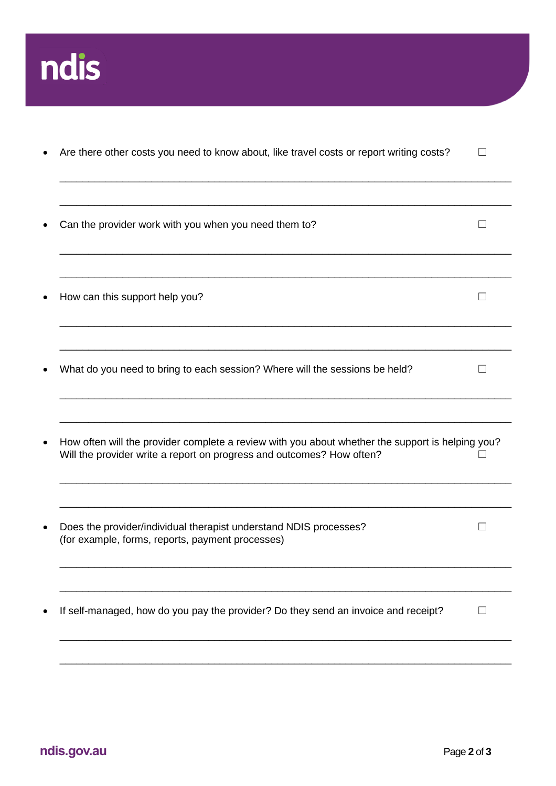

| Are there other costs you need to know about, like travel costs or report writing costs?                                                                                  |                                                                                    |
|---------------------------------------------------------------------------------------------------------------------------------------------------------------------------|------------------------------------------------------------------------------------|
| Can the provider work with you when you need them to?                                                                                                                     |                                                                                    |
| How can this support help you?                                                                                                                                            |                                                                                    |
| What do you need to bring to each session? Where will the sessions be held?                                                                                               |                                                                                    |
| How often will the provider complete a review with you about whether the support is helping you?<br>Will the provider write a report on progress and outcomes? How often? |                                                                                    |
| Does the provider/individual therapist understand NDIS processes?<br>(for example, forms, reports, payment processes)                                                     |                                                                                    |
|                                                                                                                                                                           | If self-managed, how do you pay the provider? Do they send an invoice and receipt? |